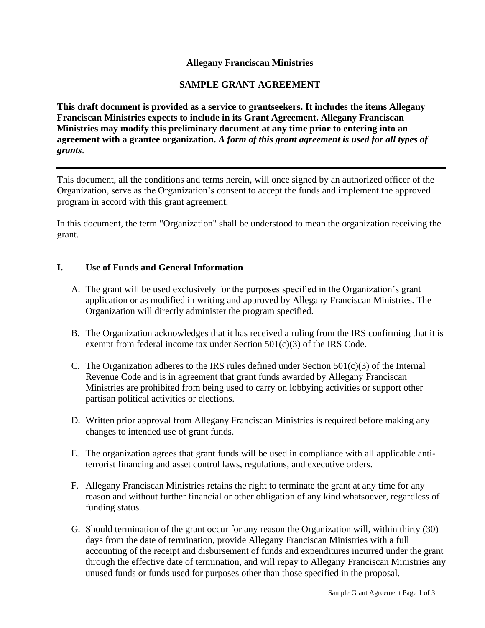# **Allegany Franciscan Ministries**

# **SAMPLE GRANT AGREEMENT**

**This draft document is provided as a service to grantseekers. It includes the items Allegany Franciscan Ministries expects to include in its Grant Agreement. Allegany Franciscan Ministries may modify this preliminary document at any time prior to entering into an agreement with a grantee organization.** *A form of this grant agreement is used for all types of grants*.

This document, all the conditions and terms herein, will once signed by an authorized officer of the Organization, serve as the Organization's consent to accept the funds and implement the approved program in accord with this grant agreement.

In this document, the term "Organization" shall be understood to mean the organization receiving the grant.

## **I. Use of Funds and General Information**

- A. The grant will be used exclusively for the purposes specified in the Organization's grant application or as modified in writing and approved by Allegany Franciscan Ministries. The Organization will directly administer the program specified.
- B. The Organization acknowledges that it has received a ruling from the IRS confirming that it is exempt from federal income tax under Section 501(c)(3) of the IRS Code.
- C. The Organization adheres to the IRS rules defined under Section  $501(c)(3)$  of the Internal Revenue Code and is in agreement that grant funds awarded by Allegany Franciscan Ministries are prohibited from being used to carry on lobbying activities or support other partisan political activities or elections.
- D. Written prior approval from Allegany Franciscan Ministries is required before making any changes to intended use of grant funds.
- E. The organization agrees that grant funds will be used in compliance with all applicable antiterrorist financing and asset control laws, regulations, and executive orders.
- F. Allegany Franciscan Ministries retains the right to terminate the grant at any time for any reason and without further financial or other obligation of any kind whatsoever, regardless of funding status.
- G. Should termination of the grant occur for any reason the Organization will, within thirty (30) days from the date of termination, provide Allegany Franciscan Ministries with a full accounting of the receipt and disbursement of funds and expenditures incurred under the grant through the effective date of termination, and will repay to Allegany Franciscan Ministries any unused funds or funds used for purposes other than those specified in the proposal.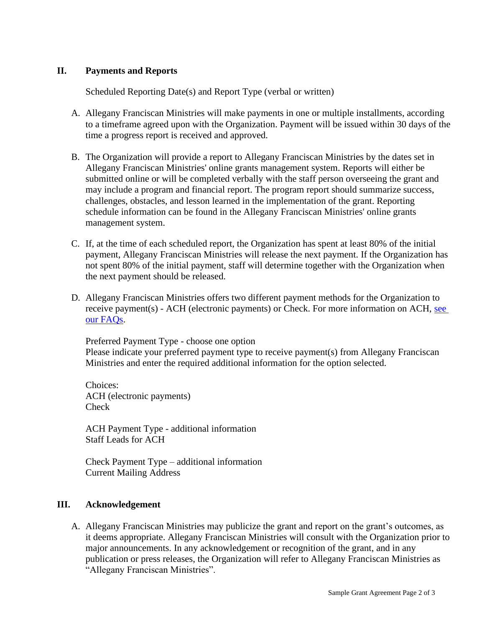### **II. Payments and Reports**

Scheduled Reporting Date(s) and Report Type (verbal or written)

- A. Allegany Franciscan Ministries will make payments in one or multiple installments, according to a timeframe agreed upon with the Organization. Payment will be issued within 30 days of the time a progress report is received and approved.
- B. The Organization will provide a report to Allegany Franciscan Ministries by the dates set in Allegany Franciscan Ministries' online grants management system. Reports will either be submitted online or will be completed verbally with the staff person overseeing the grant and may include a program and financial report. The program report should summarize success, challenges, obstacles, and lesson learned in the implementation of the grant. Reporting schedule information can be found in the Allegany Franciscan Ministries' online grants management system.
- C. If, at the time of each scheduled report, the Organization has spent at least 80% of the initial payment, Allegany Franciscan Ministries will release the next payment. If the Organization has not spent 80% of the initial payment, staff will determine together with the Organization when the next payment should be released.
- D. Allegany Franciscan Ministries offers two different payment methods for the Organization to receive payment(s) - ACH (electronic payments) or Check. For more information on ACH, see [our FAQs.](https://afmfl.org/wp-content/uploads/2022/02/ACH-FAQs-updated.pdf)

Preferred Payment Type - choose one option Please indicate your preferred payment type to receive payment(s) from Allegany Franciscan Ministries and enter the required additional information for the option selected.

Choices: ACH (electronic payments) Check

ACH Payment Type - additional information Staff Leads for ACH

Check Payment Type – additional information Current Mailing Address

#### **III. Acknowledgement**

A. Allegany Franciscan Ministries may publicize the grant and report on the grant's outcomes, as it deems appropriate. Allegany Franciscan Ministries will consult with the Organization prior to major announcements. In any acknowledgement or recognition of the grant, and in any publication or press releases, the Organization will refer to Allegany Franciscan Ministries as "Allegany Franciscan Ministries".